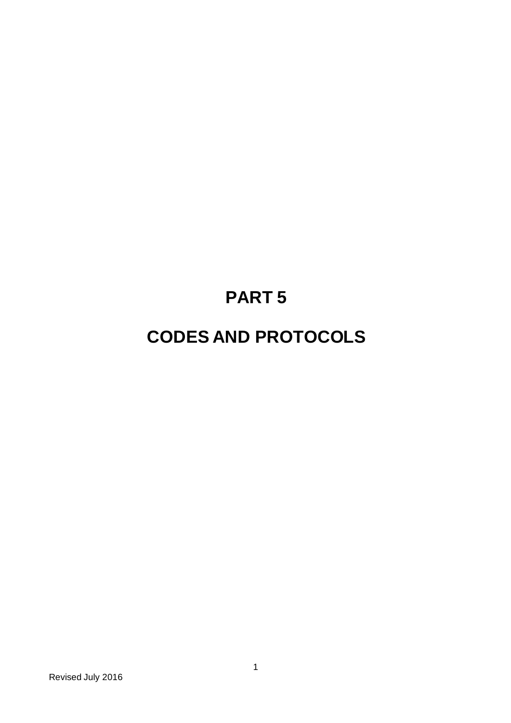# **PART 5**

## **CODES AND PROTOCOLS**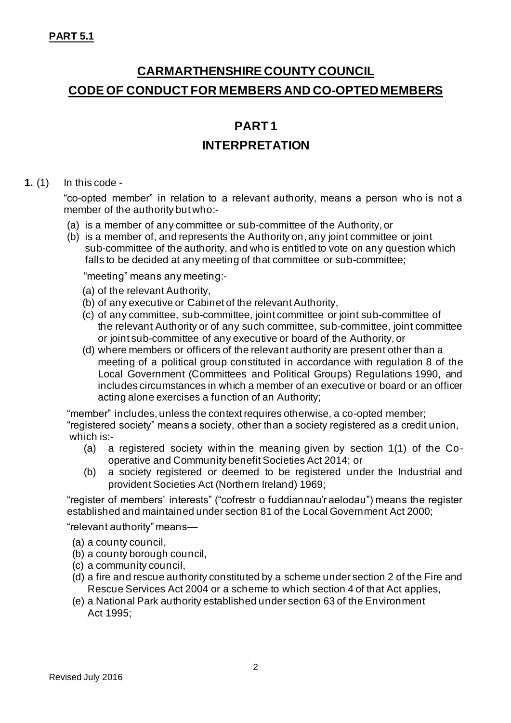### **CARMARTHENSHIRE COUNTY COUNCIL CODE OF CONDUCT FOR MEMBERS AND CO-OPTED MEMBERS**

### **PART 1**

#### **INTERPRETATION**

#### **1.** (1) In this code -

"co-opted member" in relation to a relevant authority, means a person who is not a member of the authority but who:-

- (a) is a member of any committee or sub-committee of the Authority, or
- (b) is a member of, and represents the Authority on, any joint committee or joint sub-committee of the authority, and who is entitled to vote on any question which falls to be decided at any meeting of that committee or sub-committee;

"meeting" means any meeting:-

- (a) of the relevant Authority,
- (b) of any executive or Cabinet of the relevant Authority,
- (c) of any committee, sub-committee, joint committee or joint sub-committee of the relevant Authority or of any such committee, sub-committee, joint committee or joint sub-committee of any executive or board of the Authority, or
- (d) where members or officers of the relevant authority are present other than a meeting of a political group constituted in accordance with regulation 8 of the Local Government (Committees and Political Groups) Regulations 1990, and includes circumstances in which a member of an executive or board or an officer acting alone exercises a function of an Authority;

"member" includes, unless the context requires otherwise, a co-opted member; "registered society" means a society, other than a society registered as a credit union, which is:-

- (a) a registered society within the meaning given by section 1(1) of the Cooperative and Community benefit Societies Act 2014; or
- (b) a society registered or deemed to be registered under the Industrial and provident Societies Act (Northern Ireland) 1969;

"register of members' interests" ("cofrestr o fuddiannau'r aelodau") means the register established and maintained under section 81 of the Local Government Act 2000;

"relevant authority" means—

- (a) a county council,
- (b) a county borough council,
- (c) a community council,
- (d) a fire and rescue authority constituted by a scheme under section 2 of the Fire and Rescue Services Act 2004 or a scheme to which section 4 of that Act applies,
- (e) a National Park authority established under section 63 of the Environment Act 1995;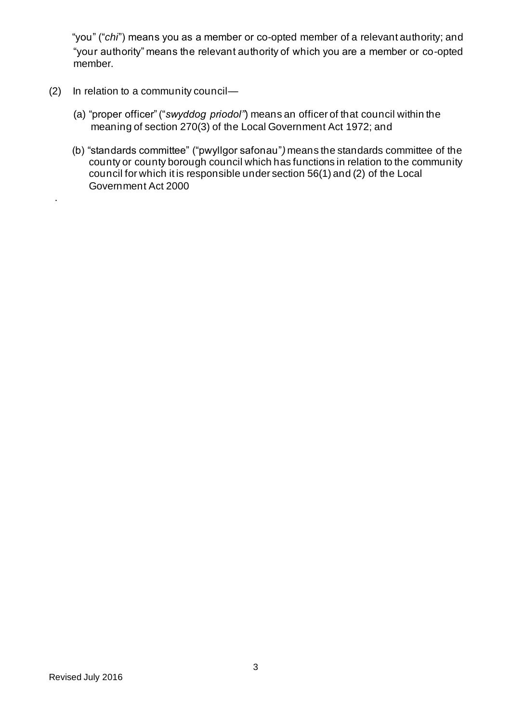"you" ("*chi*") means you as a member or co-opted member of a relevant authority; and "your authority" means the relevant authority of which you are a member or co-opted member.

(2) In relation to a community council—

.

- (a) "proper officer" ("*swyddog priodol"*) means an officer of that council within the meaning of section 270(3) of the Local Government Act 1972; and
- (b) "standards committee" ("pwyllgor safonau"*)* means the standards committee of the county or county borough council which has functions in relation to the community council for which it is responsible under section 56(1) and (2) of the Local Government Act 2000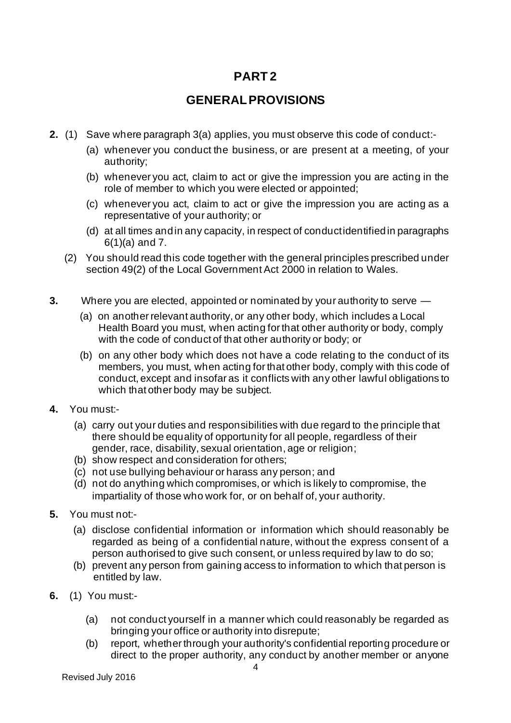#### **PART 2**

#### **GENERAL PROVISIONS**

- **2.** (1) Save where paragraph 3(a) applies, you must observe this code of conduct:-
	- (a) whenever you conduct the business, or are present at a meeting, of your authority;
	- (b) whenever you act, claim to act or give the impression you are acting in the role of member to which you were elected or appointed;
	- (c) whenever you act, claim to act or give the impression you are acting as a representative of your authority; or
	- (d) at all times and in any capacity, in respect of conduct identified in paragraphs 6(1)(a) and 7.
	- (2) You should read this code together with the general principles prescribed under section 49(2) of the Local Government Act 2000 in relation to Wales.
- **3.** Where you are elected, appointed or nominated by your authority to serve
	- (a) on another relevant authority, or any other body, which includes a Local Health Board you must, when acting for that other authority or body, comply with the code of conduct of that other authority or body; or
	- (b) on any other body which does not have a code relating to the conduct of its members, you must, when acting for that other body, comply with this code of conduct, except and insofar as it conflicts with any other lawful obligations to which that other body may be subject.
- **4.** You must:-
	- (a) carry out your duties and responsibilities with due regard to the principle that there should be equality of opportunity for all people, regardless of their gender, race, disability, sexual orientation, age or religion;
	- (b) show respect and consideration for others;
	- (c) not use bullying behaviour or harass any person; and
	- (d) not do anything which compromises, or which is likely to compromise, the impartiality of those who work for, or on behalf of, your authority.
- **5.** You must not:-
	- (a) disclose confidential information or information which should reasonably be regarded as being of a confidential nature, without the express consent of a person authorised to give such consent, or unless required by law to do so;
	- (b) prevent any person from gaining access to information to which that person is entitled by law.
- **6.** (1) You must:-
	- (a) not conduct yourself in a manner which could reasonably be regarded as bringing your office or authority into disrepute;
	- (b) report, whether through your authority's confidential reporting procedure or direct to the proper authority, any conduct by another member or anyone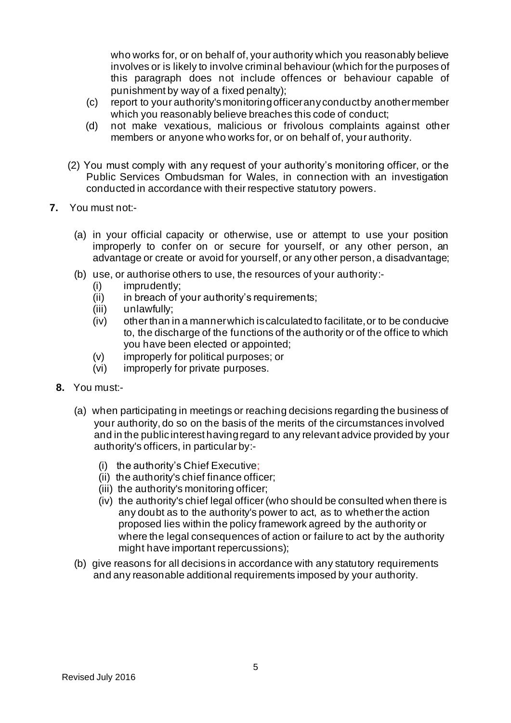who works for, or on behalf of, your authority which you reasonably believe involves or is likely to involve criminal behaviour (which for the purposes of this paragraph does not include offences or behaviour capable of punishment by way of a fixed penalty);

- (c) report to your authority's monitoring officer any conduct by another member which you reasonably believe breaches this code of conduct;
- (d) not make vexatious, malicious or frivolous complaints against other members or anyone who works for, or on behalf of, your authority.
- (2) You must comply with any request of your authority's monitoring officer, or the Public Services Ombudsman for Wales, in connection with an investigation conducted in accordance with their respective statutory powers.
- **7.** You must not:-
	- (a) in your official capacity or otherwise, use or attempt to use your position improperly to confer on or secure for yourself, or any other person, an advantage or create or avoid for yourself, or any other person, a disadvantage;
	- (b) use, or authorise others to use, the resources of your authority:-
		- (i) imprudently;<br>(ii) in breach of v
		- in breach of your authority's requirements;
		- (iii) unlawfully;
		- (iv) other than in a manner which is calculated to facilitate, or to be conducive to, the discharge of the functions of the authority or of the office to which you have been elected or appointed;
		- (v) improperly for political purposes; or
		- (vi) improperly for private purposes.
	- **8.** You must:-
		- (a) when participating in meetings or reaching decisions regarding the business of your authority, do so on the basis of the merits of the circumstances involved and in the public interest having regard to any relevant advice provided by your authority's officers, in particular by:-
			- (i) the authority's Chief Executive;
			- (ii) the authority's chief finance officer;
			- (iii) the authority's monitoring officer;
			- (iv) the authority's chief legal officer (who should be consulted when there is any doubt as to the authority's power to act, as to whether the action proposed lies within the policy framework agreed by the authority or where the legal consequences of action or failure to act by the authority might have important repercussions);
		- (b) give reasons for all decisions in accordance with any statutory requirements and any reasonable additional requirements imposed by your authority.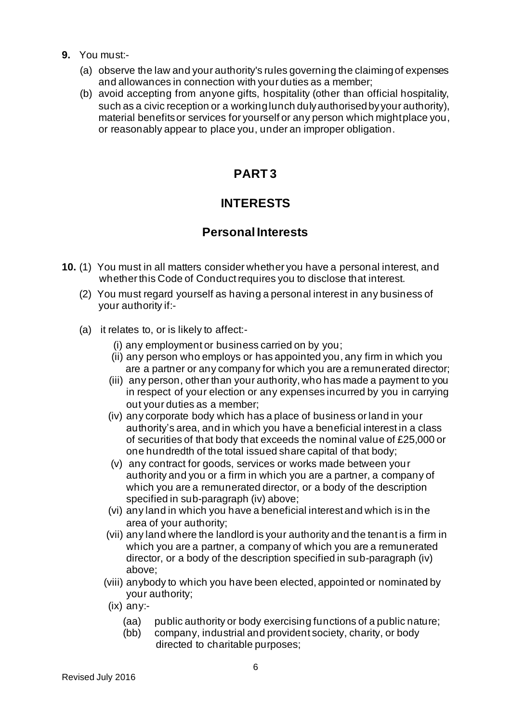- **9.** You must:-
	- (a) observe the law and your authority's rules governing the claiming of expenses and allowances in connection with your duties as a member;
	- (b) avoid accepting from anyone gifts, hospitality (other than official hospitality, such as a civic reception or a working lunch duly authorised by your authority), material benefits or services for yourself or any person which might place you, or reasonably appear to place you, under an improper obligation.

#### **PART 3**

#### **INTERESTS**

#### **Personal Interests**

- **10.** (1) You must in all matters consider whether you have a personal interest, and whether this Code of Conduct requires you to disclose that interest.
	- (2) You must regard yourself as having a personal interest in any business of your authority if:-
	- (a) it relates to, or is likely to affect:-
		- (i) any employment or business carried on by you;
		- (ii) any person who employs or has appointed you, any firm in which you are a partner or any company for which you are a remunerated director;
		- (iii) any person, other than your authority, who has made a payment to you in respect of your election or any expenses incurred by you in carrying out your duties as a member;
		- (iv) any corporate body which has a place of business or land in your authority's area, and in which you have a beneficial interest in a class of securities of that body that exceeds the nominal value of £25,000 or one hundredth of the total issued share capital of that body;
		- (v) any contract for goods, services or works made between your authority and you or a firm in which you are a partner, a company of which you are a remunerated director, or a body of the description specified in sub-paragraph (iv) above;
		- (vi) any land in which you have a beneficial interest and which is in the area of your authority;
		- (vii) any land where the landlord is your authority and the tenant is a firm in which you are a partner, a company of which you are a remunerated director, or a body of the description specified in sub-paragraph (iv) above;
		- (viii) anybody to which you have been elected, appointed or nominated by your authority;
		- (ix) any:-
			- (aa) public authority or body exercising functions of a public nature;
			- (bb) company, industrial and provident society, charity, or body directed to charitable purposes;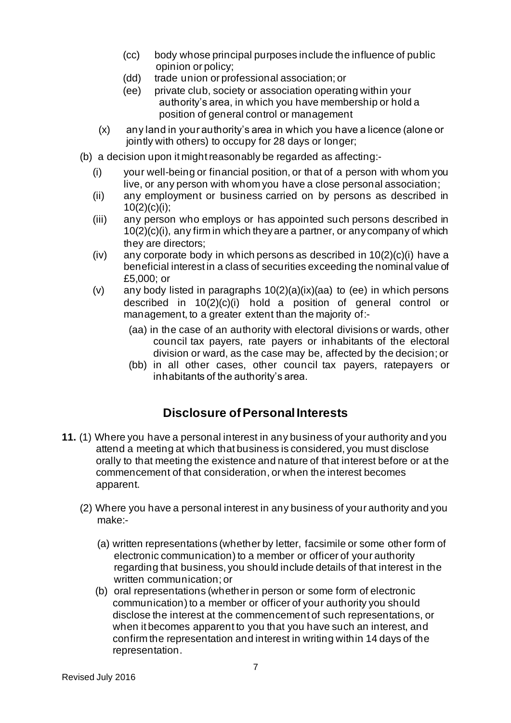- (cc) body whose principal purposes include the influence of public opinion or policy;
- (dd) trade union or professional association; or
- (ee) private club, society or association operating within your authority's area, in which you have membership or hold a position of general control or management
- (x) any land in your authority's area in which you have a licence (alone or jointly with others) to occupy for 28 days or longer;
- (b) a decision upon it might reasonably be regarded as affecting:-
	- (i) your well-being or financial position, or that of a person with whom you live, or any person with whom you have a close personal association;
	- (ii) any employment or business carried on by persons as described in  $10(2)(c)(i)$ ;
	- (iii) any person who employs or has appointed such persons described in 10(2)(c)(i), any firm in which they are a partner, or any company of which they are directors;
	- (iv) any corporate body in which persons as described in  $10(2)(c)(i)$  have a beneficial interest in a class of securities exceeding the nominal value of £5,000; or
	- (v) any body listed in paragraphs  $10(2)(a)(ix)(aa)$  to (ee) in which persons described in 10(2)(c)(i) hold a position of general control or management, to a greater extent than the majority of:-
		- (aa) in the case of an authority with electoral divisions or wards, other council tax payers, rate payers or inhabitants of the electoral division or ward, as the case may be, affected by the decision; or
		- (bb) in all other cases, other council tax payers, ratepayers or inhabitants of the authority's area.

#### **Disclosure of Personal Interests**

- **11.** (1) Where you have a personal interest in any business of your authority and you attend a meeting at which that business is considered, you must disclose orally to that meeting the existence and nature of that interest before or at the commencement of that consideration, or when the interest becomes apparent.
	- (2) Where you have a personal interest in any business of your authority and you make:-
		- (a) written representations (whether by letter, facsimile or some other form of electronic communication) to a member or officer of your authority regarding that business, you should include details of that interest in the written communication; or
		- (b) oral representations (whether in person or some form of electronic communication) to a member or officer of your authority you should disclose the interest at the commencement of such representations, or when it becomes apparent to you that you have such an interest, and confirm the representation and interest in writing within 14 days of the representation.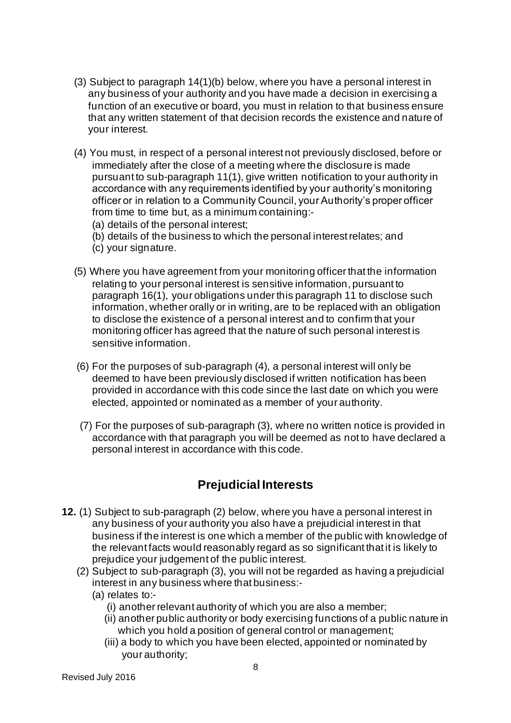- (3) Subject to paragraph 14(1)(b) below, where you have a personal interest in any business of your authority and you have made a decision in exercising a function of an executive or board, you must in relation to that business ensure that any written statement of that decision records the existence and nature of your interest.
- (4) You must, in respect of a personal interest not previously disclosed, before or immediately after the close of a meeting where the disclosure is made pursuant to sub-paragraph 11(1), give written notification to your authority in accordance with any requirements identified by your authority's monitoring officer or in relation to a Community Council, your Authority's proper officer from time to time but, as a minimum containing:-
	- (a) details of the personal interest;
	- (b) details of the business to which the personal interest relates; and
	- (c) your signature.
- (5) Where you have agreement from your monitoring officer that the information relating to your personal interest is sensitive information, pursuant to paragraph 16(1), your obligations under this paragraph 11 to disclose such information, whether orally or in writing, are to be replaced with an obligation to disclose the existence of a personal interest and to confirm that your monitoring officer has agreed that the nature of such personal interest is sensitive information.
- (6) For the purposes of sub-paragraph (4), a personal interest will only be deemed to have been previously disclosed if written notification has been provided in accordance with this code since the last date on which you were elected, appointed or nominated as a member of your authority.
- (7) For the purposes of sub-paragraph (3), where no written notice is provided in accordance with that paragraph you will be deemed as not to have declared a personal interest in accordance with this code.

### **Prejudicial Interests**

- **12.** (1) Subject to sub-paragraph (2) below, where you have a personal interest in any business of your authority you also have a prejudicial interest in that business if the interest is one which a member of the public with knowledge of the relevant facts would reasonably regard as so significant that it is likely to prejudice your judgement of the public interest.
	- (2) Subject to sub-paragraph (3), you will not be regarded as having a prejudicial interest in any business where that business:-
		- (a) relates to:-
			- (i) another relevant authority of which you are also a member;
			- (ii) another public authority or body exercising functions of a public nature in which you hold a position of general control or management;
			- (iii) a body to which you have been elected, appointed or nominated by your authority;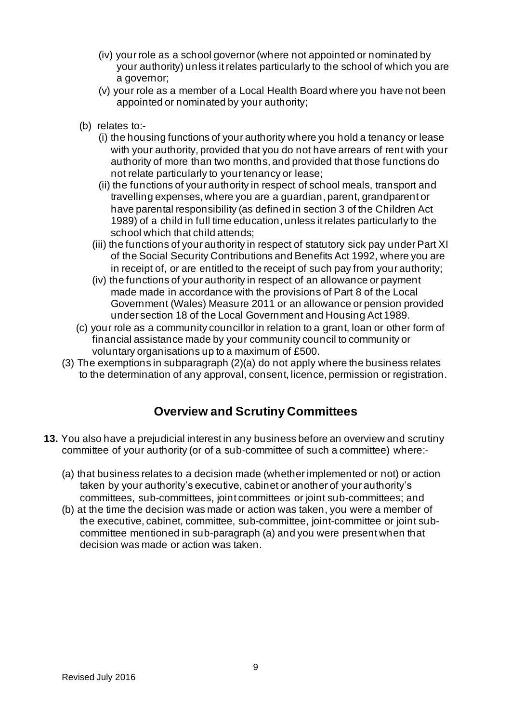- (iv) your role as a school governor (where not appointed or nominated by your authority) unless it relates particularly to the school of which you are a governor;
- (v) your role as a member of a Local Health Board where you have not been appointed or nominated by your authority;
- (b) relates to:-
	- (i) the housing functions of your authority where you hold a tenancy or lease with your authority, provided that you do not have arrears of rent with your authority of more than two months, and provided that those functions do not relate particularly to your tenancy or lease;
	- (ii) the functions of your authority in respect of school meals, transport and travelling expenses, where you are a guardian, parent, grandparent or have parental responsibility (as defined in section 3 of the Children Act 1989) of a child in full time education, unless it relates particularly to the school which that child attends;
	- (iii) the functions of your authority in respect of statutory sick pay under Part XI of the Social Security Contributions and Benefits Act 1992, where you are in receipt of, or are entitled to the receipt of such pay from your authority;
	- (iv) the functions of your authority in respect of an allowance or payment made made in accordance with the provisions of Part 8 of the Local Government (Wales) Measure 2011 or an allowance or pension provided under section 18 of the Local Government and Housing Act 1989.
- (c) your role as a community councillor in relation to a grant, loan or other form of financial assistance made by your community council to community or voluntary organisations up to a maximum of £500.
- (3) The exemptions in subparagraph (2)(a) do not apply where the business relates to the determination of any approval, consent, licence, permission or registration.

#### **Overview and Scrutiny Committees**

- **13.** You also have a prejudicial interest in any business before an overview and scrutiny committee of your authority (or of a sub-committee of such a committee) where:-
	- (a) that business relates to a decision made (whether implemented or not) or action taken by your authority's executive, cabinet or another of your authority's committees, sub-committees, joint committees or joint sub-committees; and
	- (b) at the time the decision was made or action was taken, you were a member of the executive, cabinet, committee, sub-committee, joint-committee or joint subcommittee mentioned in sub-paragraph (a) and you were present when that decision was made or action was taken.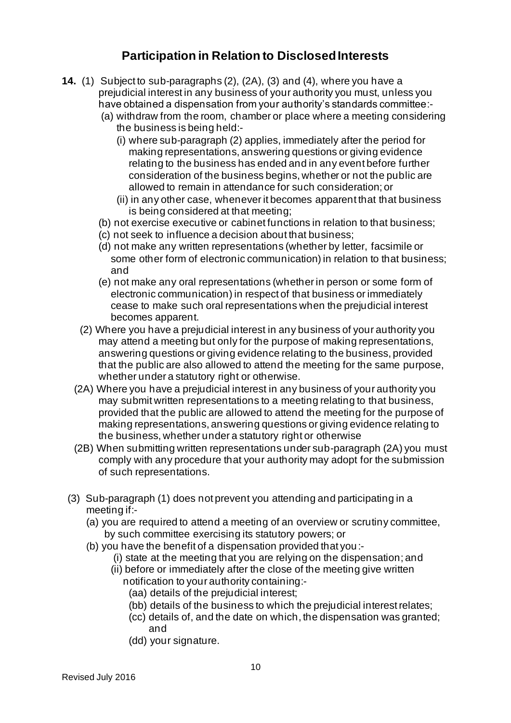#### **Participation in Relation to Disclosed Interests**

- **14.** (1) Subject to sub-paragraphs (2), (2A), (3) and (4), where you have a prejudicial interest in any business of your authority you must, unless you have obtained a dispensation from your authority's standards committee:-
	- (a) withdraw from the room, chamber or place where a meeting considering the business is being held:-
		- (i) where sub-paragraph (2) applies, immediately after the period for making representations, answering questions or giving evidence relating to the business has ended and in any event before further consideration of the business begins, whether or not the public are allowed to remain in attendance for such consideration; or
		- (ii) in any other case, whenever it becomes apparent that that business is being considered at that meeting;
	- (b) not exercise executive or cabinet functions in relation to that business;
	- (c) not seek to influence a decision about that business;
	- (d) not make any written representations (whether by letter, facsimile or some other form of electronic communication) in relation to that business; and
	- (e) not make any oral representations (whether in person or some form of electronic communication) in respect of that business or immediately cease to make such oral representations when the prejudicial interest becomes apparent.
	- (2) Where you have a prejudicial interest in any business of your authority you may attend a meeting but only for the purpose of making representations, answering questions or giving evidence relating to the business, provided that the public are also allowed to attend the meeting for the same purpose, whether under a statutory right or otherwise.
	- (2A) Where you have a prejudicial interest in any business of your authority you may submit written representations to a meeting relating to that business, provided that the public are allowed to attend the meeting for the purpose of making representations, answering questions or giving evidence relating to the business, whether under a statutory right or otherwise
	- (2B) When submitting written representations under sub-paragraph (2A) you must comply with any procedure that your authority may adopt for the submission of such representations.
	- (3) Sub-paragraph (1) does not prevent you attending and participating in a meeting if:-
		- (a) you are required to attend a meeting of an overview or scrutiny committee, by such committee exercising its statutory powers; or
		- (b) you have the benefit of a dispensation provided that you:-
			- (i) state at the meeting that you are relying on the dispensation; and
			- (ii) before or immediately after the close of the meeting give written notification to your authority containing:-
				- (aa) details of the prejudicial interest;
				- (bb) details of the business to which the prejudicial interest relates;
				- (cc) details of, and the date on which, the dispensation was granted; and
				- (dd) your signature.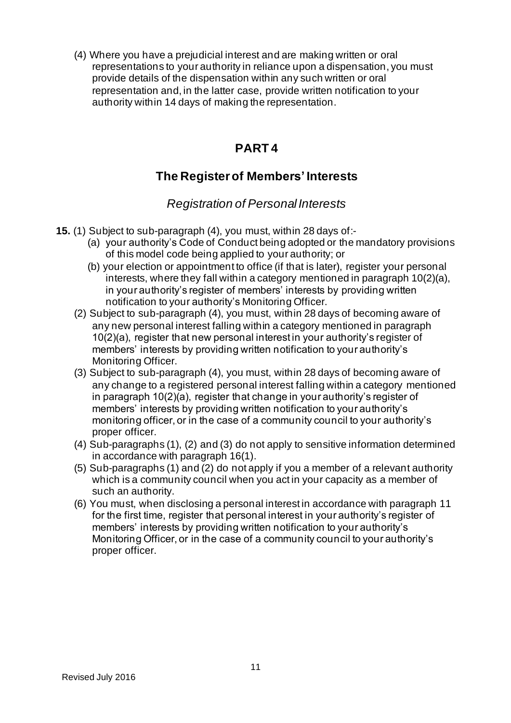(4) Where you have a prejudicial interest and are making written or oral representations to your authority in reliance upon a dispensation, you must provide details of the dispensation within any such written or oral representation and, in the latter case, provide written notification to your authority within 14 days of making the representation.

#### **PART 4**

#### **The Register of Members' Interests**

*Registration of Personal Interests*

- **15.** (1) Subject to sub-paragraph (4), you must, within 28 days of:-
	- (a) your authority's Code of Conduct being adopted or the mandatory provisions of this model code being applied to your authority; or
	- (b) your election or appointment to office (if that is later), register your personal interests, where they fall within a category mentioned in paragraph 10(2)(a), in your authority's register of members' interests by providing written notification to your authority's Monitoring Officer.
	- (2) Subject to sub-paragraph (4), you must, within 28 days of becoming aware of any new personal interest falling within a category mentioned in paragraph 10(2)(a), register that new personal interest in your authority's register of members' interests by providing written notification to your authority's Monitoring Officer.
	- (3) Subject to sub-paragraph (4), you must, within 28 days of becoming aware of any change to a registered personal interest falling within a category mentioned in paragraph 10(2)(a), register that change in your authority's register of members' interests by providing written notification to your authority's monitoring officer, or in the case of a community council to your authority's proper officer.
	- (4) Sub-paragraphs (1), (2) and (3) do not apply to sensitive information determined in accordance with paragraph 16(1).
	- (5) Sub-paragraphs (1) and (2) do not apply if you a member of a relevant authority which is a community council when you act in your capacity as a member of such an authority.
	- (6) You must, when disclosing a personal interest in accordance with paragraph 11 for the first time, register that personal interest in your authority's register of members' interests by providing written notification to your authority's Monitoring Officer, or in the case of a community council to your authority's proper officer.